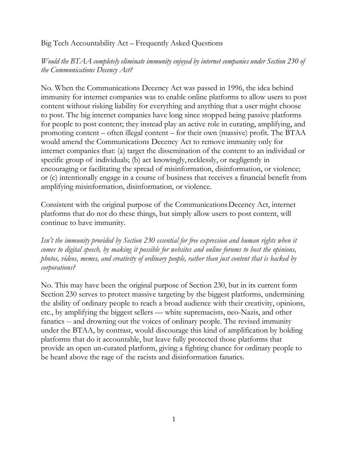#### Big Tech Accountability Act – Frequently Asked Questions

*Would the BTAA completely eliminate immunity enjoyed by internet companies under Section 230 of the Communications Decency Act?*

No. When the Communications Decency Act was passed in 1996, the idea behind immunity for internet companies was to enable online platforms to allow users to post content without risking liability for everything and anything that a user might choose to post. The big internet companies have long since stopped being passive platforms for people to post content; they instead play an active role in curating, amplifying, and promoting content – often illegal content – for their own (massive) profit. The BTAA would amend the Communications Decency Act to remove immunity only for internet companies that: (a) target the dissemination of the content to an individual or specific group of individuals; (b) act knowingly, recklessly, or negligently in encouraging or facilitating the spread of misinformation, disinformation, or violence; or (c) intentionally engage in a course of business that receives a financial benefit from amplifying misinformation, disinformation, or violence.

Consistent with the original purpose of the CommunicationsDecency Act, internet platforms that do not do these things, but simply allow users to post content, will continue to have immunity.

*Isn't the immunity provided by Section 230 essential for free expression and human rights when it comes to digital speech, by making it possible for websites and online forums to host the opinions, photos, videos, memes, and creativity of ordinary people, rather than just content that is backed by corporations?*

No. This may have been the original purpose of Section 230, but in its current form Section 230 serves to protect massive targeting by the biggest platforms, undermining the ability of ordinary people to reach a broad audience with their creativity, opinions, etc., by amplifying the biggest sellers — white supremacists, neo-Nazis, and other fanatics -- and drowning out the voices of ordinary people. The revised immunity under the BTAA, by contrast, would discourage this kind of amplification by holding platforms that do it accountable, but leave fully protected those platforms that provide an open un-curated platform, giving a fighting chance for ordinary people to be heard above the rage of the racists and disinformation fanatics.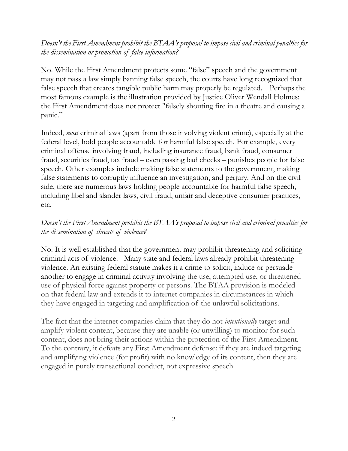## *Doesn't the First Amendment prohibit the BTAA's proposal to impose civil and criminal penalties for the dissemination or promotion of false information?*

No. While the First Amendment protects some "false" speech and the government may not pass a law simply banning false speech, the courts have long recognized that false speech that creates tangible public harm may properly be regulated. Perhaps the most famous example is the illustration provided by Justice Oliver Wendall Holmes: the First Amendment does not protect "falsely shouting fire in a theatre and causing a panic."

Indeed, *most* criminal laws (apart from those involving violent crime), especially at the federal level, hold people accountable for harmful false speech. For example, every criminal offense involving fraud, including insurance fraud, bank fraud, consumer fraud, securities fraud, tax fraud – even passing bad checks – punishes people for false speech. Other examples include making false statements to the government, making false statements to corruptly influence an investigation, and perjury. And on the civil side, there are numerous laws holding people accountable for harmful false speech, including libel and slander laws, civil fraud, unfair and deceptive consumer practices, etc.

# *Doesn't the First Amendment prohibit the BTAA's proposal to impose civil and criminal penalties for the dissemination of threats of violence?*

No. It is well established that the government may prohibit threatening and soliciting criminal acts of violence. Many state and federal laws already prohibit threatening violence. An existing federal statute makes it a crime to solicit, induce or persuade another to engage in criminal activity involving the use, attempted use, or threatened use of physical force against property or persons. The BTAA provision is modeled on that federal law and extends it to internet companies in circumstances in which they have engaged in targeting and amplification of the unlawful solicitations.

The fact that the internet companies claim that they do not *intentionally* target and amplify violent content, because they are unable (or unwilling) to monitor for such content, does not bring their actions within the protection of the First Amendment. To the contrary, it defeats any First Amendment defense: if they are indeed targeting and amplifying violence (for profit) with no knowledge of its content, then they are engaged in purely transactional conduct, not expressive speech.